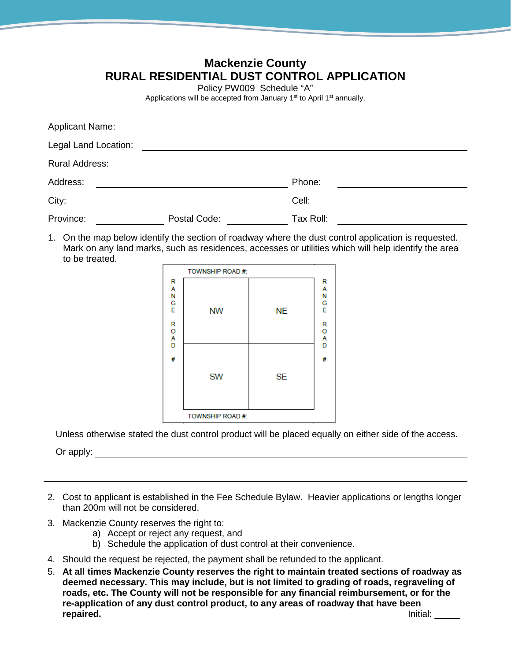## **Mackenzie County RURAL RESIDENTIAL DUST CONTROL APPLICATION**

Policy PW009 Schedule "A"

Applications will be accepted from January 1<sup>st</sup> to April 1<sup>st</sup> annually.

| <b>Applicant Name:</b> |              |           |  |
|------------------------|--------------|-----------|--|
| Legal Land Location:   |              |           |  |
| Rural Address:         |              |           |  |
| Address:               |              | Phone:    |  |
| City:                  |              | Cell:     |  |
| Province:              | Postal Code: | Tax Roll: |  |

1. On the map below identify the section of roadway where the dust control application is requested. Mark on any land marks, such as residences, accesses or utilities which will help identify the area to be treated.

|                       | TOWNSHIP ROAD #: |           |                       |
|-----------------------|------------------|-----------|-----------------------|
| R<br>A<br>N<br>G<br>E | <b>NW</b>        | <b>NE</b> | R<br>A<br>N<br>G<br>E |
| R<br>O<br>A<br>D<br># |                  |           | R<br>O<br>A<br>D<br># |
|                       | <b>SW</b>        | <b>SE</b> |                       |
|                       | TOWNSHIP ROAD #: |           |                       |

Unless otherwise stated the dust control product will be placed equally on either side of the access.

Or apply:

- 2. Cost to applicant is established in the Fee Schedule Bylaw. Heavier applications or lengths longer than 200m will not be considered.
- 3. Mackenzie County reserves the right to:
	- a) Accept or reject any request, and
	- b) Schedule the application of dust control at their convenience.
- 4. Should the request be rejected, the payment shall be refunded to the applicant.
- 5. **At all times Mackenzie County reserves the right to maintain treated sections of roadway as deemed necessary. This may include, but is not limited to grading of roads, regraveling of roads, etc. The County will not be responsible for any financial reimbursement, or for the re-application of any dust control product, to any areas of roadway that have been repaired.** Initial: \_\_\_\_\_